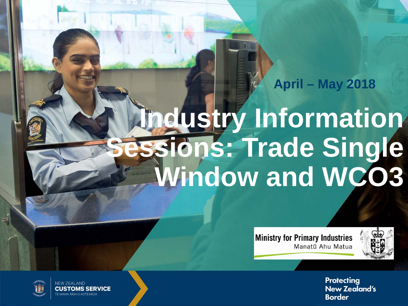### **April – May 2018**

# **Industry Information Ssions: Trade Single Window and WCO3**

**Ministry for Primary Industries** Manatū Ahu Matua



**Protecting New Zealand's Border** 



**NEW ZEALAND CUSTOMS SERVICE** F MANA ĀRAI O AOTFAROA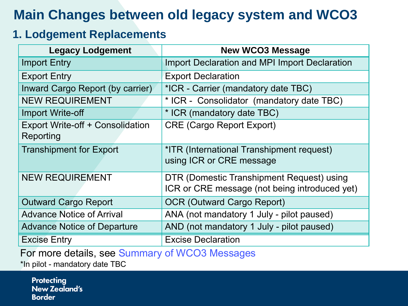## **Main Changes between old legacy system and WCO3**

### **1. Lodgement Replacements**

| <b>Legacy Lodgement</b>                       | <b>New WCO3 Message</b>                                                                    |
|-----------------------------------------------|--------------------------------------------------------------------------------------------|
| <b>Import Entry</b>                           | <b>Import Declaration and MPI Import Declaration</b>                                       |
| <b>Export Entry</b>                           | <b>Export Declaration</b>                                                                  |
| Inward Cargo Report (by carrier)              | *ICR - Carrier (mandatory date TBC)                                                        |
| <b>NEW REQUIREMENT</b>                        | * ICR - Consolidator (mandatory date TBC)                                                  |
| <b>Import Write-off</b>                       | * ICR (mandatory date TBC)                                                                 |
| Export Write-off + Consolidation<br>Reporting | <b>CRE (Cargo Report Export)</b>                                                           |
| <b>Transhipment for Export</b>                | *ITR (International Transhipment request)<br>using ICR or CRE message                      |
| <b>NEW REQUIREMENT</b>                        | DTR (Domestic Transhipment Request) using<br>ICR or CRE message (not being introduced yet) |
| <b>Outward Cargo Report</b>                   | <b>OCR (Outward Cargo Report)</b>                                                          |
| <b>Advance Notice of Arrival</b>              | ANA (not mandatory 1 July - pilot paused)                                                  |
| <b>Advance Notice of Departure</b>            | AND (not mandatory 1 July - pilot paused)                                                  |
| <b>Excise Entry</b>                           | <b>Excise Declaration</b>                                                                  |

For more details, see Summary of WCO3 Messages

[\\*In pilot - mandatory date TBC](https://www.customs.govt.nz/business/trade-single-window/summary-of-wco3-messages2/)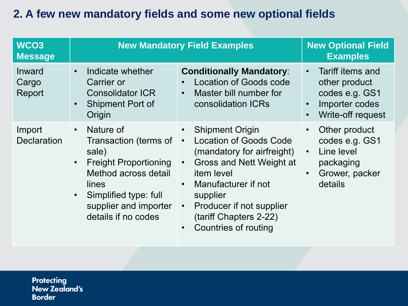### **2. A few new mandatory fields and some new optional fields**

| WCO <sub>3</sub><br><b>Message</b> | <b>New Mandatory Field Examples</b>                                                                                                                                                                       |                                                                                                                                                                                                                                                                                                                                       | <b>New Optional Field</b><br><b>Examples</b>                                                                                   |
|------------------------------------|-----------------------------------------------------------------------------------------------------------------------------------------------------------------------------------------------------------|---------------------------------------------------------------------------------------------------------------------------------------------------------------------------------------------------------------------------------------------------------------------------------------------------------------------------------------|--------------------------------------------------------------------------------------------------------------------------------|
| Inward<br>Cargo<br>Report          | Indicate whether<br>$\bullet$<br>Carrier or<br><b>Consolidator ICR</b><br><b>Shipment Port of</b><br>Origin                                                                                               | <b>Conditionally Mandatory:</b><br>Location of Goods code<br>$\bullet$<br>Master bill number for<br>$\bullet$<br>consolidation ICRs                                                                                                                                                                                                   | Tariff items and<br>$\bullet$<br>other product<br>codes e.g. GS1<br>Importer codes<br>$\bullet$<br>Write-off request           |
| Import<br><b>Declaration</b>       | Nature of<br>$\bullet$<br><b>Transaction (terms of</b><br>sale)<br><b>Freight Proportioning</b><br>Method across detail<br>lines<br>Simplified type: full<br>supplier and importer<br>details if no codes | <b>Shipment Origin</b><br>$\bullet$<br><b>Location of Goods Code</b><br>$\bullet$<br>(mandatory for airfreight)<br>Gross and Nett Weight at<br>$\bullet$<br>item level<br>Manufacturer if not<br>$\bullet$<br>supplier<br>Producer if not supplier<br>$\bullet$<br>(tariff Chapters 2-22)<br><b>Countries of routing</b><br>$\bullet$ | Other product<br>$\bullet$<br>codes e.g. GS1<br>Line level<br>$\bullet$<br>packaging<br>Grower, packer<br>$\bullet$<br>details |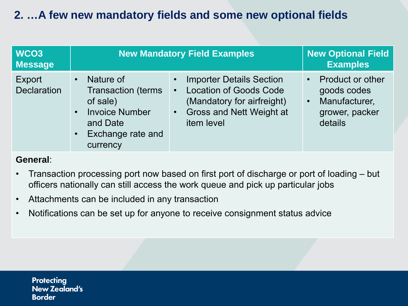### **2. …A few new mandatory fields and some new optional fields**

| WCO <sub>3</sub><br><b>Message</b>  | <b>New Mandatory Field Examples</b>                                                                                                                              |                                                                                                                                                                     | <b>New Optional Field</b><br><b>Examples</b>                                                      |
|-------------------------------------|------------------------------------------------------------------------------------------------------------------------------------------------------------------|---------------------------------------------------------------------------------------------------------------------------------------------------------------------|---------------------------------------------------------------------------------------------------|
| <b>Export</b><br><b>Declaration</b> | Nature of<br>$\bullet$<br><b>Transaction (terms)</b><br>of sale)<br><b>Invoice Number</b><br>$\bullet$<br>and Date<br>Exchange rate and<br>$\bullet$<br>currency | <b>Importer Details Section</b><br><b>Location of Goods Code</b><br>$\bullet$<br>(Mandatory for airfreight)<br><b>Gross and Nett Weight at</b><br>707<br>item level | <b>Product or other</b><br>goods codes<br>Manufacturer,<br>$\bullet$<br>grower, packer<br>details |

### **General**:

- Transaction processing port now based on first port of discharge or port of loading but officers nationally can still access the work queue and pick up particular jobs
- Attachments can be included in any transaction
- Notifications can be set up for anyone to receive consignment status advice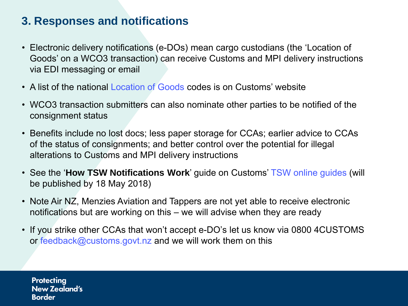### **3. Responses and notifications**

- Electronic delivery notifications (e-DOs) mean cargo custodians (the 'Location of Goods' on a WCO3 transaction) can receive Customs and MPI delivery instructions via EDI messaging or email
- A list of the national [Location of Goods](https://www.customs.govt.nz/business/trade-single-window/location-of-goods-codes/) codes is on Customs' website
- WCO3 transaction submitters can also nominate other parties to be notified of the consignment status
- Benefits include no lost docs; less paper storage for CCAs; earlier advice to CCAs of the status of consignments; and better control over the potential for illegal alterations to Customs and MPI delivery instructions
- See the '**How TSW Notifications Work**' guide on Customs' [TSW online guides](https://www.customs.govt.nz/business/trade-single-window/online-guides/) (will be published by 18 May 2018)
- Note Air NZ, Menzies Aviation and Tappers are not yet able to receive electronic notifications but are working on this – we will advise when they are ready
- If you strike other CCAs that won't accept e-DO's let us know via 0800 4CUSTOMS or [feedback@customs.govt.nz](mailto:feedback@customs.govt.nz) and we will work them on this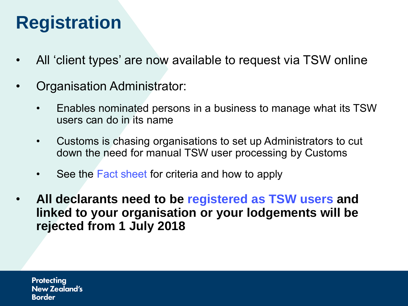## **Registration**

- All 'client types' are now available to request via TSW online
- Organisation Administrator:
	- Enables nominated persons in a business to manage what its TSW users can do in its name
	- Customs is chasing organisations to set up Administrators to cut down the need for manual TSW user processing by Customs
	- See the Fact [sheet](https://www.customs.govt.nz/globalassets/documents/tsw/administrator-of-organisation.pdf) for criteria and how to apply
- **All declarants need to be [registered as TSW users](https://www.customs.govt.nz/business/trade-single-window/registering-to-use-tsw/) and linked to your organisation or your lodgements will be rejected from 1 July 2018**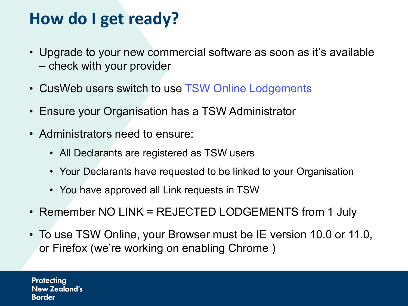## **How do I get ready?**

- Upgrade to your new commercial software as soon as it's available – check with your provider
- CusWeb users switch to use TSW [Online Lodgements](https://www.customs.govt.nz/business/trade-single-window/registering-to-use-tsw/)
- Ensure your Organisation has a TSW Administrator
- Administrators need to ensure:
	- All Declarants are registered as TSW users
	- Your Declarants have requested to be linked to your Organisation
	- You have approved all Link requests in TSW
- Remember NO LINK = REJECTED LODGEMENTS from 1 July
- To use TSW Online, your Browser must be IE version 10.0 or 11.0, or Firefox (we're working on enabling Chrome )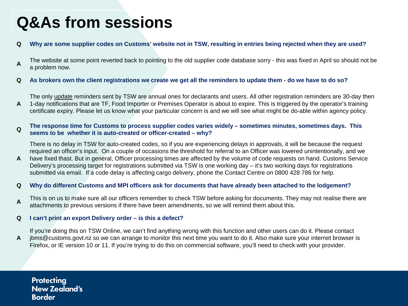## **Q&As from sessions**

#### **Q Why are some supplier codes on Customs' website not in TSW, resulting in entries being rejected when they are used?**

- **A** The website at some point reverted back to pointing to the old supplier code database sorry this was fixed in April so should not be a problem now.
- **Q As brokers own the client registrations we create we get all the reminders to update them - do we have to do so?**

**A** The only update reminders sent by TSW are annual ones for declarants and users. All other registration reminders are 30-day then 1-day notifications that are TF, Food Importer or Premises Operator is about to expire. This is triggered by the operator's training certificate expiry. Please let us know what your particular concern is and we will see what might be do-able within agency policy.

#### **<sup>Q</sup> The response time for Customs to process supplier codes varies widely – sometimes minutes, sometimes days. This seems to be whether it is auto-created or officer-created – why?**

There is no delay in TSW for auto-created codes, so if you are experiencing delays in approvals, it will be because the request required an officer's input. On a couple of occasions the threshold for referral to an Officer was lowered unintentionally, and we

**A** have fixed thast. But in general, Officer processing times are affected by the volume of code requests on hand. Customs Service Delivery's processing target for registrations submitted via TSW is one working day – it's two working days for registrations submitted via email. If a code delay is affecting cargo delivery, phone the Contact Centre on 0800 428 786 for help.

#### **Q Why do different Customs and MPI officers ask for documents that have already been attached to the lodgement?**

**A** This is on us to make sure all our officers remember to check TSW before asking for documents. They may not realise there are attachments to previous versions if there have been amendments, so we will remind them about this.

#### **Q I can't print an export Delivery order – is this a defect?**

**A** If you're doing this on TSW Online, we can't find anything wrong with this function and other users can do it. Please contact jbms@customs.govt.nz so we can arrange to monitor this next time you want to do it. Also make sure your internet browser is Firefox, or IE version 10 or 11. If you're trying to do this on commercial software, you'll need to check with your provider.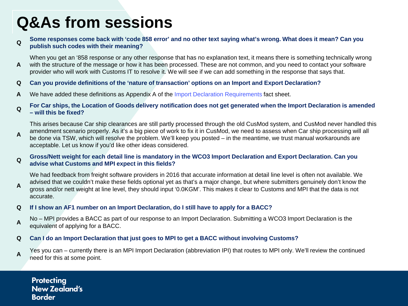## **Q&As from sessions**

#### **<sup>Q</sup> Some responses come back with 'code 858 error' and no other text saying what's wrong. What does it mean? Can you publish such codes with their meaning?**

**A** When you get an '858 response or any other response that has no explanation text, it means there is something technically wrong with the structure of the message or how it has been processed. These are not common, and you need to contact your software provider who will work with Customs IT to resolve it. We will see if we can add something in the response that says that.

#### **Q Can you provide definitions of the 'nature of transaction' options on an Import and Export Declaration?**

**A** We have added these definitions as Appendix A of the Import Declaration [Requirements](https://www.customs.govt.nz/globalassets/documents/tsw/import-declaration-requirements.pdf) fact sheet.

#### **<sup>Q</sup> For Car ships, the Location of Goods delivery notification does not get generated when the Import Declaration is amended – will this be fixed?**

**A** This arises because Car ship clearances are still partly processed through the old CusMod system, and CusMod never handled this amendment scenario properly. As it's a big piece of work to fix it in CusMod, we need to assess when Car ship processing will all be done via TSW, which will resolve the problem. We'll keep you posted – in the meantime, we trust manual workarounds are acceptable. Let us know if you'd like other ideas considered.

#### **<sup>Q</sup> Gross/Nett weight for each detail line is mandatory in the WCO3 Import Declaration and Export Declaration. Can you advise what Customs and MPI expect in this fields?**

**A** We had feedback from freight software providers in 2016 that accurate information at detail line level is often not available. We advised that we couldn't make these fields optional yet as that's a major change, but where submitters genuinely don't know the gross and/or nett weight at line level, they should input '0.0KGM'. This makes it clear to Customs and MPI that the data is not accurate.

#### **Q If I show an AF1 number on an Import Declaration, do I still have to apply for a BACC?**

**A** No – MPI provides a BACC as part of our response to an Import Declaration. Submitting a WCO3 Import Declaration is the equivalent of applying for a BACC.

#### **Q Can I do an Import Declaration that just goes to MPI to get a BACC without involving Customs?**

**A** Yes you can – currently there is an MPI Import Declaration (abbreviation IPI) that routes to MPI only. We'll review the continued need for this at some point.